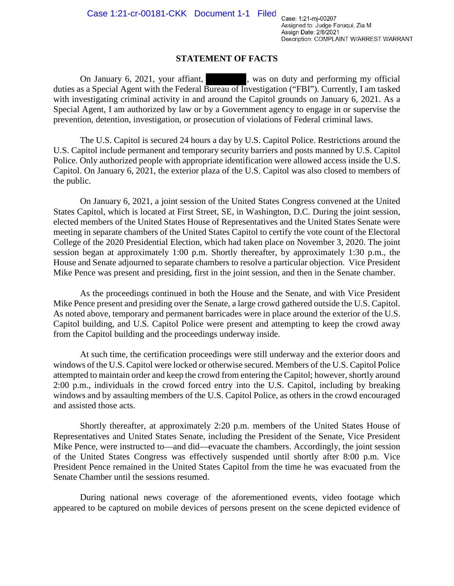## **STATEMENT OF FACTS**

On January 6, 2021, your affiant, , was on duty and performing my official duties as a Special Agent with the Federal Bureau of Investigation ("FBI"). Currently, I am tasked with investigating criminal activity in and around the Capitol grounds on January 6, 2021. As a Special Agent, I am authorized by law or by a Government agency to engage in or supervise the prevention, detention, investigation, or prosecution of violations of Federal criminal laws. MEI<br>Burea<br>I arou

The U.S. Capitol is secured 24 hours a day by U.S. Capitol Police. Restrictions around the U.S. Capitol include permanent and temporary security barriers and posts manned by U.S. Capitol Police. Only authorized people with appropriate identification were allowed access inside the U.S. Capitol. On January 6, 2021, the exterior plaza of the U.S. Capitol was also closed to members of the public.

On January 6, 2021, a joint session of the United States Congress convened at the United States Capitol, which is located at First Street, SE, in Washington, D.C. During the joint session, elected members of the United States House of Representatives and the United States Senate were meeting in separate chambers of the United States Capitol to certify the vote count of the Electoral College of the 2020 Presidential Election, which had taken place on November 3, 2020. The joint session began at approximately 1:00 p.m. Shortly thereafter, by approximately 1:30 p.m., the House and Senate adjourned to separate chambers to resolve a particular objection. Vice President Mike Pence was present and presiding, first in the joint session, and then in the Senate chamber.

As the proceedings continued in both the House and the Senate, and with Vice President Mike Pence present and presiding over the Senate, a large crowd gathered outside the U.S. Capitol. As noted above, temporary and permanent barricades were in place around the exterior of the U.S. Capitol building, and U.S. Capitol Police were present and attempting to keep the crowd away from the Capitol building and the proceedings underway inside.

At such time, the certification proceedings were still underway and the exterior doors and windows of the U.S. Capitol were locked or otherwise secured. Members of the U.S. Capitol Police attempted to maintain order and keep the crowd from entering the Capitol; however, shortly around 2:00 p.m., individuals in the crowd forced entry into the U.S. Capitol, including by breaking windows and by assaulting members of the U.S. Capitol Police, as others in the crowd encouraged and assisted those acts.

Shortly thereafter, at approximately 2:20 p.m. members of the United States House of Representatives and United States Senate, including the President of the Senate, Vice President Mike Pence, were instructed to—and did—evacuate the chambers. Accordingly, the joint session of the United States Congress was effectively suspended until shortly after 8:00 p.m. Vice President Pence remained in the United States Capitol from the time he was evacuated from the Senate Chamber until the sessions resumed.

During national news coverage of the aforementioned events, video footage which appeared to be captured on mobile devices of persons present on the scene depicted evidence of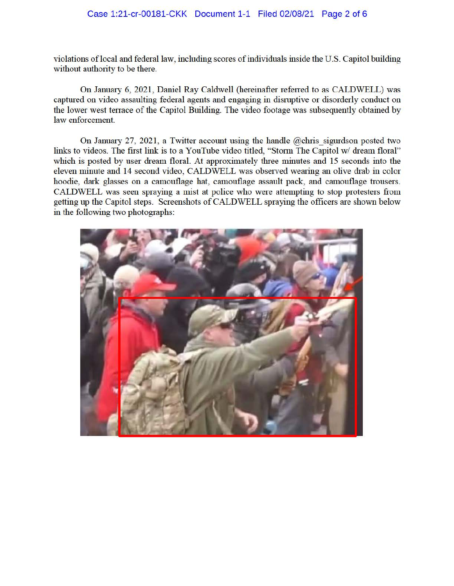## Case 1:21-cr-00181-CKK Document 1-1 Filed 02/08/21 Page 2 of 6

violations of local and federal law, including scores of individuals inside the U.S. Capitol building without authority to be there.

On January 6, 2021, Daniel Ray Caldwell (hereinafter referred to as CALDWELL) was captured on video assaulting federal agents and engaging in disrnptive or disorderly conduct on the lower west tenace of the Capitol Building. The video footage was subsequently obtained by law enforcement.

On January 27, 2021, a Twitter account using the handle  $@{\text{chris}}$  sigurdson posted two links to videos. The first link is to a YouTube video titled, "Storm The Capitol w/ dream floral" which is posted by user dream floral. At approximately three minutes and 15 seconds into the eleven minute and 14 second video, CALDWELL was observed wearing an olive drab in color hoodie, dark glasses on a camouflage hat, camouflage assault pack, and camouflage trousers. CALDWELL was seen spraying a mist at police who were attempting to stop protesters from getting up the Capitol steps. Screenshots of CALDWELL spraying the officers are shown below in the following two photographs:

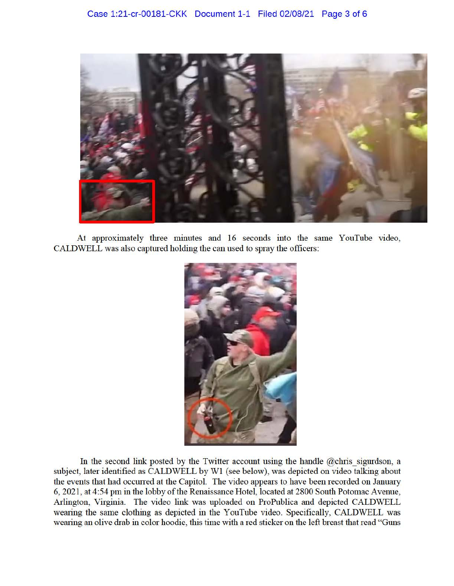

At approximately three minutes and 16 seconds into the same YouTube video, CALDWELL was also captured holding the can used to spray the officers:



In the second link posted by the Twitter account using the handle  $@{\text{chris}}$  sigurdson, a subject, later identified as CALDWELL by Wl (see below), was depicted on video talking about the events that had occurred at the Capitol. The video appears to have been recorded on Janmuy 6, 2021, at 4:54 pm in the lobby of the Renaissance Hotel, located at 2800 South Potomac Avenue, Arlington, Virginia. The video link was uploaded on ProPublica and depicted CALDWELL wearing the same clothing as depicted in the YouTube video. Specifically, CALDWELL was wearing an olive drab in color hoodie, this time with a red sticker on the left breast that read "Guns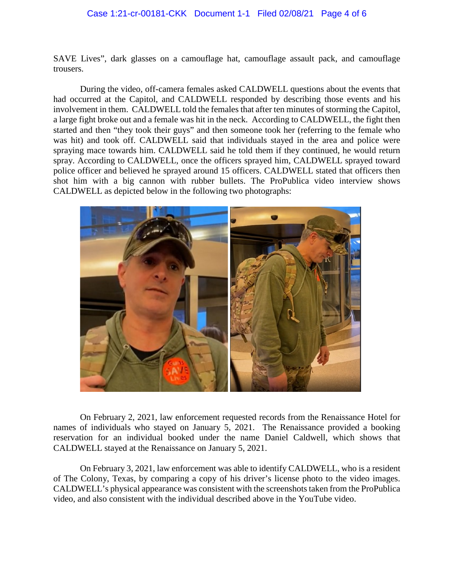## Case 1:21-cr-00181-CKK Document 1-1 Filed 02/08/21 Page 4 of 6

SAVE Lives", dark glasses on a camouflage hat, camouflage assault pack, and camouflage trousers.

CALDWELL as depicted below in the following two photographs: During the video, off-camera females asked CALDWELL questions about the events that had occurred at the Capitol, and CALDWELL responded by describing those events and his involvement in them. CALDWELL told the females that after ten minutes of storming the Capitol, a large fight broke out and a female was hit in the neck. According to CALDWELL, the fight then started and then "they took their guys" and then someone took her (referring to the female who was hit) and took off. CALDWELL said that individuals stayed in the area and police were spraying mace towards him. CALDWELL said he told them if they continued, he would return spray. According to CALDWELL, once the officers sprayed him, CALDWELL sprayed toward police officer and believed he sprayed around 15 officers. CALDWELL stated that officers then shot him with a big cannon with rubber bullets. The ProPublica video interview shows



names of individuals who stayed on January 5, 2021. The Renaissance provided a booking reservation for an individual booked under the name Daniel Caldwell, which shows that CALDWELL stayed at the Renaissance on January 5, 2021.

 of The Colony, Texas, by comparing a copy of his driver's license photo to the video images. On February 3, 2021, law enforcement was able to identify CALDWELL, who is a resident CALDWELL's physical appearance was consistent with the screenshots taken from the ProPublica video, and also consistent with the individual described above in the YouTube video.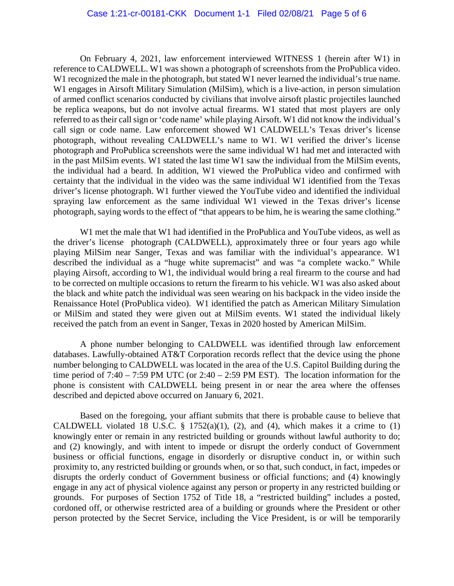spraying law enforcement as the same individual W1 viewed in the Texas driver's license spraying law enforcement as the same individual W1 viewed in the Texas driver's license photograph, saying words to the effect of "that appears to be him, he is wearing the same clothing." On February 4, 2021, law enforcement interviewed WITNESS 1 (herein after W1) in reference to CALDWELL. W1 was shown a photograph of screenshots from the ProPublica video. W1 recognized the male in the photograph, but stated W1 never learned the individual's true name. W1 engages in Airsoft Military Simulation (MilSim), which is a live-action, in person simulation of armed conflict scenarios conducted by civilians that involve airsoft plastic projectiles launched be replica weapons, but do not involve actual firearms. W1 stated that most players are only referred to as their call sign or 'code name' while playing Airsoft. W1 did not know the individual's call sign or code name. Law enforcement showed W1 CALDWELL's Texas driver's license photograph, without revealing CALDWELL's name to W1. W1 verified the driver's license photograph and ProPublica screenshots were the same individual W1 had met and interacted with in the past MilSim events. W1 stated the last time W1 saw the individual from the MilSim events, the individual had a beard. In addition, W1 viewed the ProPublica video and confirmed with certainty that the individual in the video was the same individual W1 identified from the Texas driver's license photograph. W1 further viewed the YouTube video and identified the individual

 playing Airsoft, according to W1, the individual would bring a real firearm to the course and had received the patch from an event in Sanger, Texas in 2020 hosted by American MilSim. W1 met the male that W1 had identified in the ProPublica and YouTube videos, as well as the driver's license photograph (CALDWELL), approximately three or four years ago while playing MilSim near Sanger, Texas and was familiar with the individual's appearance. W1 described the individual as a "huge white supremacist" and was "a complete wacko." While to be corrected on multiple occasions to return the firearm to his vehicle. W1 was also asked about the black and white patch the individual was seen wearing on his backpack in the video inside the Renaissance Hotel (ProPublica video). W1 identified the patch as American Military Simulation or MilSim and stated they were given out at MilSim events. W1 stated the individual likely

 databases. Lawfully-obtained AT&T Corporation records reflect that the device using the phone described and depicted above occurred on January 6, 2021. A phone number belonging to CALDWELL was identified through law enforcement number belonging to CALDWELL was located in the area of the U.S. Capitol Building during the time period of 7:40 – 7:59 PM UTC (or 2:40 – 2:59 PM EST). The location information for the phone is consistent with CALDWELL being present in or near the area where the offenses

 disrupts the orderly conduct of Government business or official functions; and (4) knowingly grounds. For purposes of Section 1752 of Title 18, a "restricted building" includes a posted, cordoned off, or otherwise restricted area of a building or grounds where the President or other Based on the foregoing, your affiant submits that there is probable cause to believe that CALDWELL violated 18 U.S.C. § 1752(a)(1), (2), and (4), which makes it a crime to (1) knowingly enter or remain in any restricted building or grounds without lawful authority to do; and (2) knowingly, and with intent to impede or disrupt the orderly conduct of Government business or official functions, engage in disorderly or disruptive conduct in, or within such proximity to, any restricted building or grounds when, or so that, such conduct, in fact, impedes or engage in any act of physical violence against any person or property in any restricted building or person protected by the Secret Service, including the Vice President, is or will be temporarily